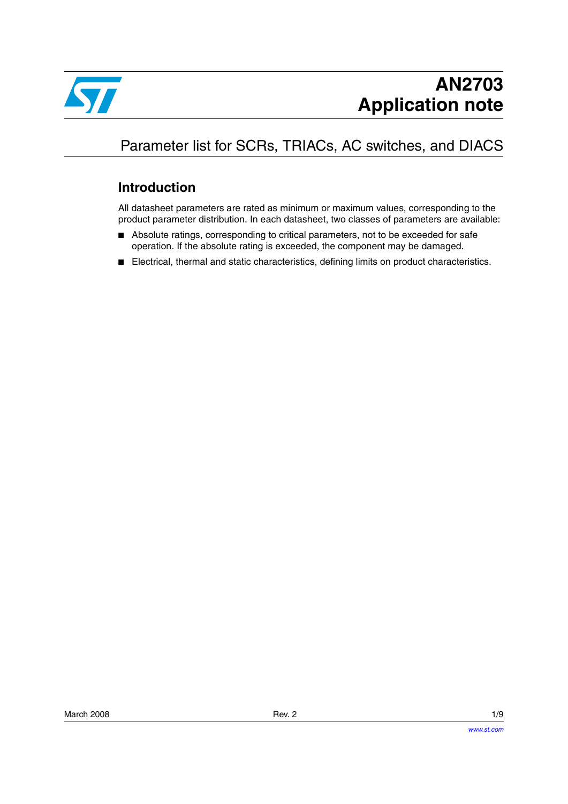

## Parameter list for SCRs, TRIACs, AC switches, and DIACS

### **Introduction**

All datasheet parameters are rated as minimum or maximum values, corresponding to the product parameter distribution. In each datasheet, two classes of parameters are available:

- Absolute ratings, corresponding to critical parameters, not to be exceeded for safe operation. If the absolute rating is exceeded, the component may be damaged.
- Electrical, thermal and static characteristics, defining limits on product characteristics.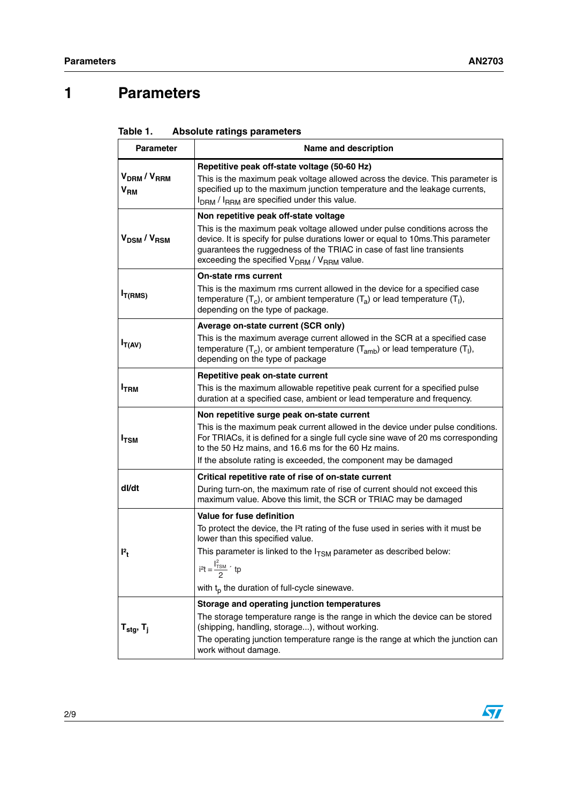## **1 Parameters**

| Table 1. | <b>Absolute ratings parameters</b> |  |
|----------|------------------------------------|--|
|----------|------------------------------------|--|

| <b>Parameter</b>                                      | Name and description                                                                                                                                                                                                                                                                                           |  |
|-------------------------------------------------------|----------------------------------------------------------------------------------------------------------------------------------------------------------------------------------------------------------------------------------------------------------------------------------------------------------------|--|
| V <sub>DRM</sub> /V <sub>RRM</sub><br>V <sub>RM</sub> | Repetitive peak off-state voltage (50-60 Hz)<br>This is the maximum peak voltage allowed across the device. This parameter is<br>specified up to the maximum junction temperature and the leakage currents,<br>I <sub>DRM</sub> / I <sub>RRM</sub> are specified under this value.                             |  |
|                                                       | Non repetitive peak off-state voltage                                                                                                                                                                                                                                                                          |  |
| V <sub>DSM</sub> /V <sub>RSM</sub>                    | This is the maximum peak voltage allowed under pulse conditions across the<br>device. It is specify for pulse durations lower or equal to 10ms. This parameter<br>guarantees the ruggedness of the TRIAC in case of fast line transients<br>exceeding the specified V <sub>DRM</sub> / V <sub>RRM</sub> value. |  |
|                                                       | <b>On-state rms current</b>                                                                                                                                                                                                                                                                                    |  |
| $I_{T(RMS)}$                                          | This is the maximum rms current allowed in the device for a specified case<br>temperature $(T_c)$ , or ambient temperature $(T_a)$ or lead temperature $(T_l)$ ,<br>depending on the type of package.                                                                                                          |  |
|                                                       | Average on-state current (SCR only)                                                                                                                                                                                                                                                                            |  |
| $I_{T(AV)}$                                           | This is the maximum average current allowed in the SCR at a specified case<br>temperature $(T_c)$ , or ambient temperature $(T_{amb})$ or lead temperature $(T_l)$ ,<br>depending on the type of package                                                                                                       |  |
|                                                       | Repetitive peak on-state current                                                                                                                                                                                                                                                                               |  |
| I <sub>TRM</sub>                                      | This is the maximum allowable repetitive peak current for a specified pulse<br>duration at a specified case, ambient or lead temperature and frequency.                                                                                                                                                        |  |
|                                                       | Non repetitive surge peak on-state current                                                                                                                                                                                                                                                                     |  |
| $I_{\text{TSM}}$                                      | This is the maximum peak current allowed in the device under pulse conditions.<br>For TRIACs, it is defined for a single full cycle sine wave of 20 ms corresponding<br>to the 50 Hz mains, and 16.6 ms for the 60 Hz mains.                                                                                   |  |
|                                                       | If the absolute rating is exceeded, the component may be damaged                                                                                                                                                                                                                                               |  |
|                                                       | Critical repetitive rate of rise of on-state current                                                                                                                                                                                                                                                           |  |
| dl/dt                                                 | During turn-on, the maximum rate of rise of current should not exceed this<br>maximum value. Above this limit, the SCR or TRIAC may be damaged                                                                                                                                                                 |  |
|                                                       | Value for fuse definition                                                                                                                                                                                                                                                                                      |  |
|                                                       | To protect the device, the I <sup>2</sup> t rating of the fuse used in series with it must be<br>lower than this specified value.                                                                                                                                                                              |  |
| $P_t$                                                 | This parameter is linked to the $I_{TSM}$ parameter as described below:                                                                                                                                                                                                                                        |  |
|                                                       | $i^{2}t = \frac{I_{TSM}^{2}}{2}$ tp                                                                                                                                                                                                                                                                            |  |
|                                                       | with $t_p$ the duration of full-cycle sinewave.                                                                                                                                                                                                                                                                |  |
|                                                       | Storage and operating junction temperatures                                                                                                                                                                                                                                                                    |  |
| $T_{\text{stg}}$ , $T_{\text{i}}$                     | The storage temperature range is the range in which the device can be stored<br>(shipping, handling, storage), without working.                                                                                                                                                                                |  |
|                                                       | The operating junction temperature range is the range at which the junction can<br>work without damage.                                                                                                                                                                                                        |  |

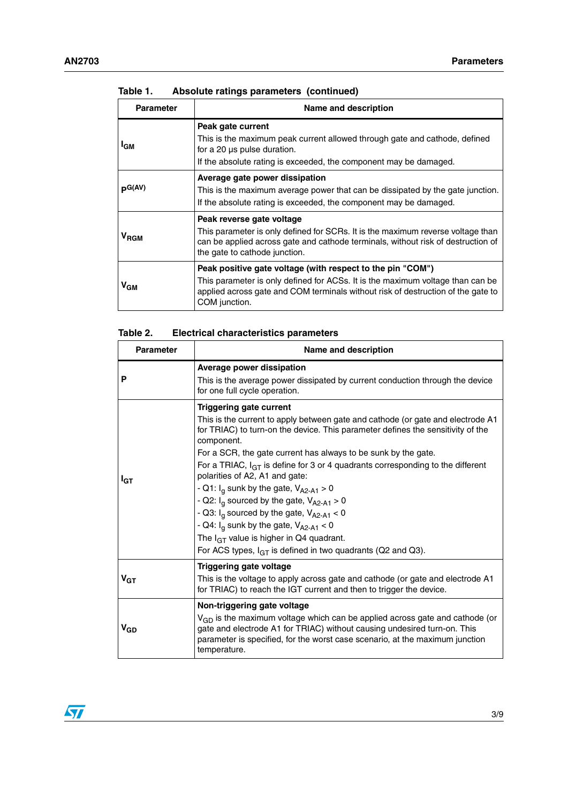| <b>Parameter</b> | Name and description                                                                                                                                                                                                                              |
|------------------|---------------------------------------------------------------------------------------------------------------------------------------------------------------------------------------------------------------------------------------------------|
| <sup>I</sup> GM  | Peak gate current<br>This is the maximum peak current allowed through gate and cathode, defined<br>for a 20 us pulse duration.<br>If the absolute rating is exceeded, the component may be damaged.                                               |
| $p^{G(AV)}$      | Average gate power dissipation<br>This is the maximum average power that can be dissipated by the gate junction.<br>If the absolute rating is exceeded, the component may be damaged.                                                             |
| V <sub>RGM</sub> | Peak reverse gate voltage<br>This parameter is only defined for SCRs. It is the maximum reverse voltage than<br>can be applied across gate and cathode terminals, without risk of destruction of<br>the gate to cathode junction.                 |
| ∨ <sub>GМ</sub>  | Peak positive gate voltage (with respect to the pin "COM")<br>This parameter is only defined for ACSs. It is the maximum voltage than can be<br>applied across gate and COM terminals without risk of destruction of the gate to<br>COM junction. |

#### **Table 1. Absolute ratings parameters (continued)**

| Table 2. |  | <b>Electrical characteristics parameters</b> |  |
|----------|--|----------------------------------------------|--|
|----------|--|----------------------------------------------|--|

| <b>Parameter</b>      | Name and description                                                                                                                                                                                                                                                                                                                                                                                                                                                                                                                                                                                                                                                                                                                        |  |
|-----------------------|---------------------------------------------------------------------------------------------------------------------------------------------------------------------------------------------------------------------------------------------------------------------------------------------------------------------------------------------------------------------------------------------------------------------------------------------------------------------------------------------------------------------------------------------------------------------------------------------------------------------------------------------------------------------------------------------------------------------------------------------|--|
| P                     | Average power dissipation<br>This is the average power dissipated by current conduction through the device<br>for one full cycle operation.                                                                                                                                                                                                                                                                                                                                                                                                                                                                                                                                                                                                 |  |
| I <sub>GT</sub>       | <b>Triggering gate current</b><br>This is the current to apply between gate and cathode (or gate and electrode A1<br>for TRIAC) to turn-on the device. This parameter defines the sensitivity of the<br>component.<br>For a SCR, the gate current has always to be sunk by the gate.<br>For a TRIAC, $I_{GT}$ is define for 3 or 4 quadrants corresponding to the different<br>polarities of A2, A1 and gate:<br>- Q1: $I_q$ sunk by the gate, $V_{A2-A1} > 0$<br>- Q2: $I_q$ sourced by the gate, $V_{A2-A1} > 0$<br>- Q3: $I_q$ sourced by the gate, $V_{A2-A1}$ < 0<br>- Q4: $I_q$ sunk by the gate, $V_{A2-A1}$ < 0<br>The $I_{GT}$ value is higher in Q4 quadrant.<br>For ACS types, $I_{GT}$ is defined in two quadrants (Q2 and Q3). |  |
| $V_{GT}$              | <b>Triggering gate voltage</b><br>This is the voltage to apply across gate and cathode (or gate and electrode A1<br>for TRIAC) to reach the IGT current and then to trigger the device.                                                                                                                                                                                                                                                                                                                                                                                                                                                                                                                                                     |  |
| <b>V<sub>GD</sub></b> | Non-triggering gate voltage<br>$V_{GD}$ is the maximum voltage which can be applied across gate and cathode (or<br>gate and electrode A1 for TRIAC) without causing undesired turn-on. This<br>parameter is specified, for the worst case scenario, at the maximum junction<br>temperature.                                                                                                                                                                                                                                                                                                                                                                                                                                                 |  |

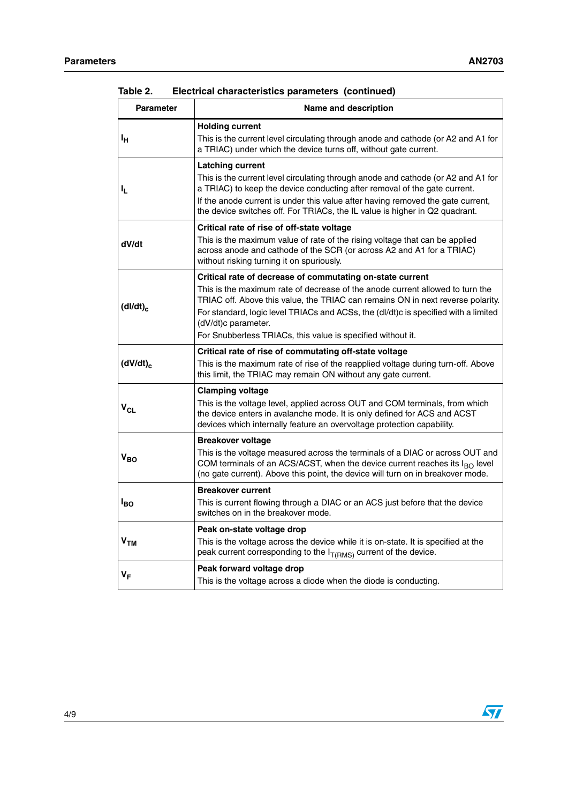| <b>Parameter</b> | Name and description                                                                                                                                                                                                                                                                                                                                                                                       |
|------------------|------------------------------------------------------------------------------------------------------------------------------------------------------------------------------------------------------------------------------------------------------------------------------------------------------------------------------------------------------------------------------------------------------------|
| Iн               | <b>Holding current</b><br>This is the current level circulating through anode and cathode (or A2 and A1 for<br>a TRIAC) under which the device turns off, without gate current.                                                                                                                                                                                                                            |
| ı,               | <b>Latching current</b><br>This is the current level circulating through anode and cathode (or A2 and A1 for<br>a TRIAC) to keep the device conducting after removal of the gate current.<br>If the anode current is under this value after having removed the gate current,<br>the device switches off. For TRIACs, the IL value is higher in Q2 quadrant.                                                |
| dV/dt            | Critical rate of rise of off-state voltage<br>This is the maximum value of rate of the rising voltage that can be applied<br>across anode and cathode of the SCR (or across A2 and A1 for a TRIAC)<br>without risking turning it on spuriously.                                                                                                                                                            |
| $(dI/dt)_{c}$    | Critical rate of decrease of commutating on-state current<br>This is the maximum rate of decrease of the anode current allowed to turn the<br>TRIAC off. Above this value, the TRIAC can remains ON in next reverse polarity.<br>For standard, logic level TRIACs and ACSs, the (dl/dt)c is specified with a limited<br>(dV/dt)c parameter.<br>For Snubberless TRIACs, this value is specified without it. |
| $(dV/dt)_{c}$    | Critical rate of rise of commutating off-state voltage<br>This is the maximum rate of rise of the reapplied voltage during turn-off. Above<br>this limit, the TRIAC may remain ON without any gate current.                                                                                                                                                                                                |
| $V_{CL}$         | <b>Clamping voltage</b><br>This is the voltage level, applied across OUT and COM terminals, from which<br>the device enters in avalanche mode. It is only defined for ACS and ACST<br>devices which internally feature an overvoltage protection capability.                                                                                                                                               |
| $V_{BO}$         | <b>Breakover voltage</b><br>This is the voltage measured across the terminals of a DIAC or across OUT and<br>COM terminals of an ACS/ACST, when the device current reaches its $I_{BO}$ level<br>(no gate current). Above this point, the device will turn on in breakover mode.                                                                                                                           |
| l <sub>BO</sub>  | <b>Breakover current</b><br>This is current flowing through a DIAC or an ACS just before that the device<br>switches on in the breakover mode.                                                                                                                                                                                                                                                             |
| V <sub>TM</sub>  | Peak on-state voltage drop<br>This is the voltage across the device while it is on-state. It is specified at the<br>peak current corresponding to the $I_{T(RMS)}$ current of the device.                                                                                                                                                                                                                  |
| $V_F$            | Peak forward voltage drop<br>This is the voltage across a diode when the diode is conducting.                                                                                                                                                                                                                                                                                                              |

| Table 2. |  | Electrical characteristics parameters (continued) |  |  |  |
|----------|--|---------------------------------------------------|--|--|--|
|----------|--|---------------------------------------------------|--|--|--|

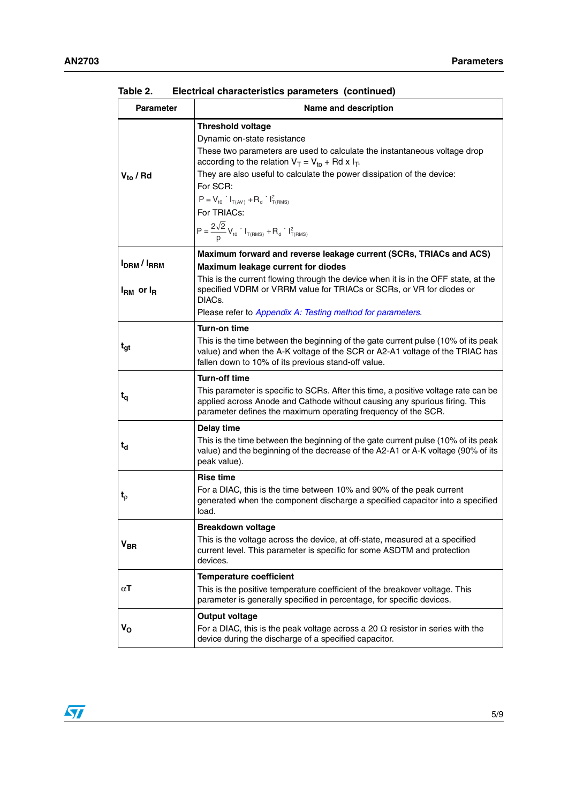| <b>Parameter</b>            | Name and description                                                                                                                                                                                                               |
|-----------------------------|------------------------------------------------------------------------------------------------------------------------------------------------------------------------------------------------------------------------------------|
|                             | <b>Threshold voltage</b>                                                                                                                                                                                                           |
|                             | Dynamic on-state resistance                                                                                                                                                                                                        |
|                             | These two parameters are used to calculate the instantaneous voltage drop<br>according to the relation $V_T = V_{to} + Rd \times I_T$ .                                                                                            |
| $V_{to}$ / Rd               | They are also useful to calculate the power dissipation of the device:<br>For SCR:                                                                                                                                                 |
|                             | $P = V_{t0}$ $I_{T(AV)} + R_d$ $I_{T(RMS)}^2$                                                                                                                                                                                      |
|                             | For TRIACs:                                                                                                                                                                                                                        |
|                             | $P = \frac{2\sqrt{2}}{n} V_{\text{to}}$ $I_{T(RMS)} + R_{\text{d}}$ $I_{T(RMS)}^2$                                                                                                                                                 |
|                             | Maximum forward and reverse leakage current (SCRs, TRIACs and ACS)                                                                                                                                                                 |
| <b>IDRM</b> / <b>IRRM</b>   | Maximum leakage current for diodes                                                                                                                                                                                                 |
| $I_{\rm RM}$ or $I_{\rm R}$ | This is the current flowing through the device when it is in the OFF state, at the<br>specified VDRM or VRRM value for TRIACs or SCRs, or VR for diodes or<br>DIACs.                                                               |
|                             | Please refer to Appendix A: Testing method for parameters.                                                                                                                                                                         |
|                             | <b>Turn-on time</b>                                                                                                                                                                                                                |
| t <sub>gt</sub>             | This is the time between the beginning of the gate current pulse (10% of its peak<br>value) and when the A-K voltage of the SCR or A2-A1 voltage of the TRIAC has<br>fallen down to 10% of its previous stand-off value.           |
|                             | <b>Turn-off time</b>                                                                                                                                                                                                               |
| $t_{q}$                     | This parameter is specific to SCRs. After this time, a positive voltage rate can be<br>applied across Anode and Cathode without causing any spurious firing. This<br>parameter defines the maximum operating frequency of the SCR. |
|                             | Delay time                                                                                                                                                                                                                         |
| $t_{d}$                     | This is the time between the beginning of the gate current pulse (10% of its peak<br>value) and the beginning of the decrease of the A2-A1 or A-K voltage (90% of its<br>peak value).                                              |
|                             | <b>Rise time</b>                                                                                                                                                                                                                   |
| $t_{\rho}$                  | For a DIAC, this is the time between 10% and 90% of the peak current<br>generated when the component discharge a specified capacitor into a specified<br>load.                                                                     |
|                             | <b>Breakdown voltage</b>                                                                                                                                                                                                           |
| V <sub>BR</sub>             | This is the voltage across the device, at off-state, measured at a specified<br>current level. This parameter is specific for some ASDTM and protection<br>devices.                                                                |
|                             | <b>Temperature coefficient</b>                                                                                                                                                                                                     |
| αT                          | This is the positive temperature coefficient of the breakover voltage. This<br>parameter is generally specified in percentage, for specific devices.                                                                               |
|                             | <b>Output voltage</b>                                                                                                                                                                                                              |
| v <sub>o</sub>              | For a DIAC, this is the peak voltage across a 20 $\Omega$ resistor in series with the<br>device during the discharge of a specified capacitor.                                                                                     |

| Table 2. |  | Electrical characteristics parameters (continued) |  |  |  |
|----------|--|---------------------------------------------------|--|--|--|
|----------|--|---------------------------------------------------|--|--|--|

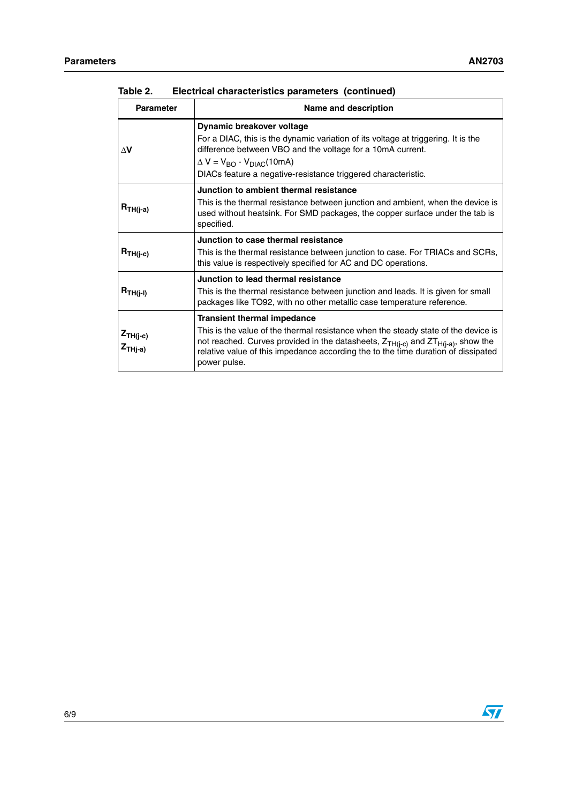| <b>Parameter</b>                       | Name and description                                                                                                                                                                                                                                                                                                        |  |
|----------------------------------------|-----------------------------------------------------------------------------------------------------------------------------------------------------------------------------------------------------------------------------------------------------------------------------------------------------------------------------|--|
| ΔV                                     | Dynamic breakover voltage<br>For a DIAC, this is the dynamic variation of its voltage at triggering. It is the<br>difference between VBO and the voltage for a 10mA current.<br>$\Delta V = V_{\text{RO}} - V_{\text{DIAC}}(10 \text{mA})$<br>DIACs feature a negative-resistance triggered characteristic.                 |  |
| $R_{TH(j-a)}$                          | Junction to ambient thermal resistance<br>This is the thermal resistance between junction and ambient, when the device is<br>used without heatsink. For SMD packages, the copper surface under the tab is<br>specified.                                                                                                     |  |
| $R_{TH(j-c)}$                          | Junction to case thermal resistance<br>This is the thermal resistance between junction to case. For TRIACs and SCRs,<br>this value is respectively specified for AC and DC operations.                                                                                                                                      |  |
| $R_{TH(j-I)}$                          | Junction to lead thermal resistance<br>This is the thermal resistance between junction and leads. It is given for small<br>packages like TO92, with no other metallic case temperature reference.                                                                                                                           |  |
| $Z_{TH(j-c)}$<br>$Z$ <sub>THj-a)</sub> | <b>Transient thermal impedance</b><br>This is the value of the thermal resistance when the steady state of the device is<br>not reached. Curves provided in the datasheets, $Z_{TH(i-c)}$ and $ZT_{H(i-a)}$ , show the<br>relative value of this impedance according the to the time duration of dissipated<br>power pulse. |  |

| Table 2. | Electrical characteristics parameters (continued) |  |  |  |
|----------|---------------------------------------------------|--|--|--|
|----------|---------------------------------------------------|--|--|--|

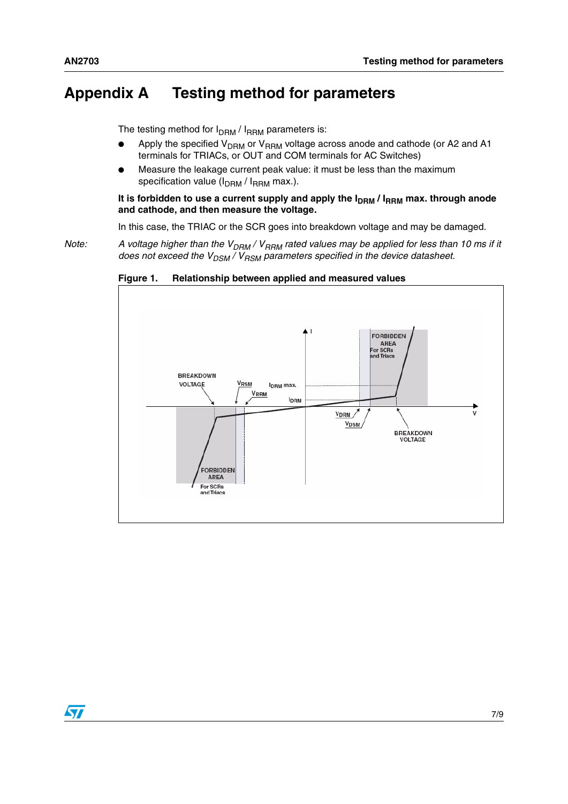### <span id="page-6-0"></span>**Appendix A Testing method for parameters**

The testing method for  $I_{\text{DRM}}/I_{\text{RRM}}$  parameters is:

- Apply the specified  $V<sub>DRM</sub>$  or  $V<sub>RRM</sub>$  voltage across anode and cathode (or A2 and A1 terminals for TRIACs, or OUT and COM terminals for AC Switches)
- Measure the leakage current peak value: it must be less than the maximum specification value  $(I_{DRM}/ I_{RRM}$  max.).

It is forbidden to use a current supply and apply the I<sub>DRM</sub> / I<sub>RRM</sub> max. through anode **and cathode, and then measure the voltage.**

In this case, the TRIAC or the SCR goes into breakdown voltage and may be damaged.

*Note:* A voltage higher than the V<sub>DRM</sub> / V<sub>RRM</sub> rated values may be applied for less than 10 ms if it *does not exceed the*  $V_{DSM} / V_{BSM}$  *parameters specified in the device datasheet.* 



**Figure 1. Relationship between applied and measured values**

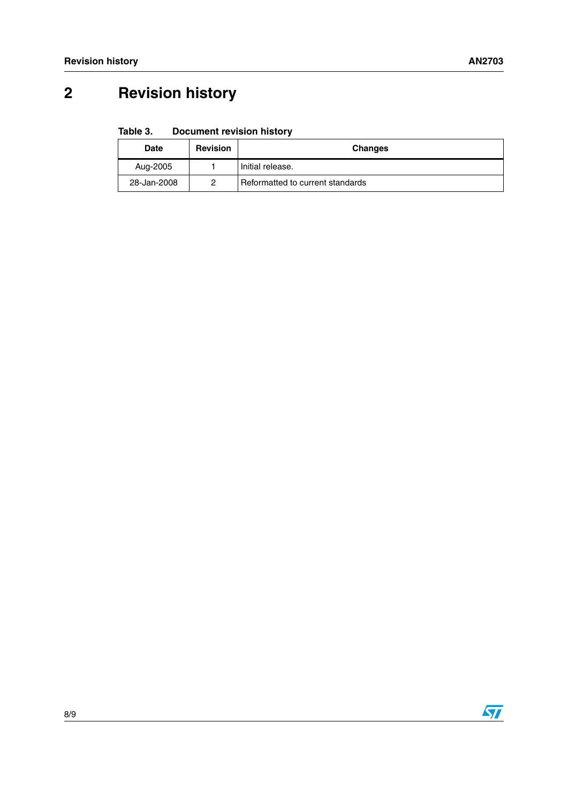# **2 Revision history**

#### Table 3. **Document revision history**

| Date        | <b>Revision</b> | <b>Changes</b>                   |
|-------------|-----------------|----------------------------------|
| Aug-2005    |                 | Initial release.                 |
| 28-Jan-2008 | ာ               | Reformatted to current standards |